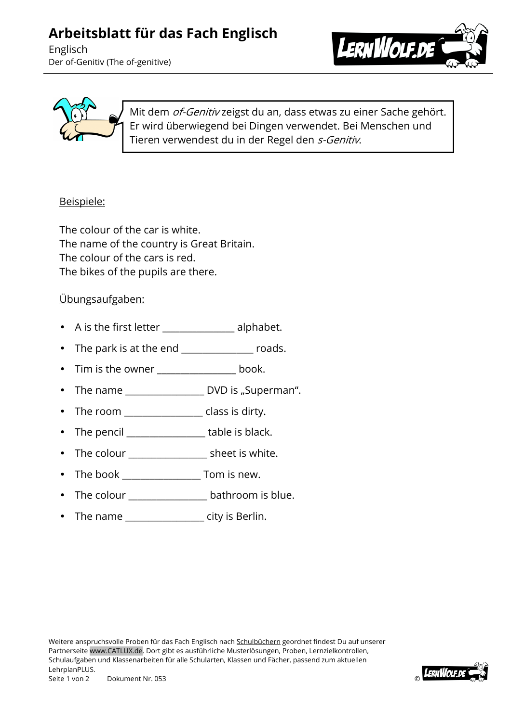## **Arbeitsblatt für das Fach Englisch**

Englisch Der of-Genitiv (The of-genitive)





Mit dem *of-Genitiv* zeigst du an, dass etwas zu einer Sache gehört. Er wird überwiegend bei Dingen verwendet. Bei Menschen und Tieren verwendest du in der Regel den s-Genitiv.

## Beispiele:

The colour of the car is white. The name of the country is Great Britain. The colour of the cars is red. The bikes of the pupils are there.

## Übungsaufgaben:

- A is the first letter **\_\_\_\_\_\_\_\_\_\_\_\_\_\_\_\_\_** alphabet.
- The park is at the end **\_\_\_\_\_\_\_\_\_\_\_\_\_\_\_\_\_** roads.
- Tim is the owner \_\_\_\_\_\_\_\_\_\_\_\_\_\_\_\_\_ book.
- The name  $\frac{1}{1}$  DVD is "Superman".
- The room example is the room of the room of the results of the results of the results of the results of the re
- The pencil **table is black.**
- The colour \_\_\_\_\_\_\_\_\_\_\_\_\_\_\_\_\_\_\_ sheet is white.
- The book \_\_\_\_\_\_\_\_\_\_\_\_\_\_\_\_\_\_\_ Tom is new.
- The colour entitled bathroom is blue.
- The name entity is Berlin.

Weitere anspruchsvolle Proben für das Fach Englisch nach Schulbüchern geordnet findest Du auf unserer Partnerseite www.CATLUX.de. Dort gibt es ausführliche Musterlösungen, Proben, Lernzielkontrollen, Schulaufgaben und Klassenarbeiten für alle Schularten, Klassen und Fächer, passend zum aktuellen LehrplanPLUS. Seite 1 von 2 Dokument Nr. 053 ©